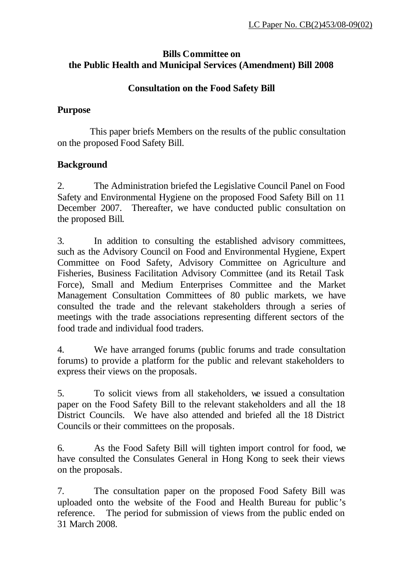# **Bills Committee on the Public Health and Municipal Services (Amendment) Bill 2008**

### **Consultation on the Food Safety Bill**

### **Purpose**

This paper briefs Members on the results of the public consultation on the proposed Food Safety Bill.

# **Background**

2. The Administration briefed the Legislative Council Panel on Food Safety and Environmental Hygiene on the proposed Food Safety Bill on 11 December 2007. Thereafter, we have conducted public consultation on the proposed Bill.

3. In addition to consulting the established advisory committees, such as the Advisory Council on Food and Environmental Hygiene, Expert Committee on Food Safety, Advisory Committee on Agriculture and Fisheries, Business Facilitation Advisory Committee (and its Retail Task Force), Small and Medium Enterprises Committee and the Market Management Consultation Committees of 80 public markets, we have consulted the trade and the relevant stakeholders through a series of meetings with the trade associations representing different sectors of the food trade and individual food traders.

4. We have arranged forums (public forums and trade consultation forums) to provide a platform for the public and relevant stakeholders to express their views on the proposals.

5. To solicit views from all stakeholders, we issued a consultation paper on the Food Safety Bill to the relevant stakeholders and all the 18 District Councils. We have also attended and briefed all the 18 District Councils or their committees on the proposals.

6. As the Food Safety Bill will tighten import control for food, we have consulted the Consulates General in Hong Kong to seek their views on the proposals.

7. The consultation paper on the proposed Food Safety Bill was uploaded onto the website of the Food and Health Bureau for public's reference. The period for submission of views from the public ended on 31 March 2008.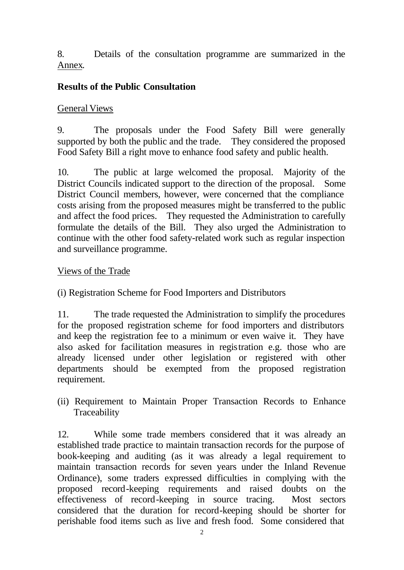8. Details of the consultation programme are summarized in the Annex.

## **Results of the Public Consultation**

#### General Views

9. The proposals under the Food Safety Bill were generally supported by both the public and the trade. They considered the proposed Food Safety Bill a right move to enhance food safety and public health.

10. The public at large welcomed the proposal. Majority of the District Councils indicated support to the direction of the proposal. Some District Council members, however, were concerned that the compliance costs arising from the proposed measures might be transferred to the public and affect the food prices. They requested the Administration to carefully formulate the details of the Bill. They also urged the Administration to continue with the other food safety-related work such as regular inspection and surveillance programme.

#### Views of the Trade

(i) Registration Scheme for Food Importers and Distributors

11. The trade requested the Administration to simplify the procedures for the proposed registration scheme for food importers and distributors and keep the registration fee to a minimum or even waive it. They have also asked for facilitation measures in registration e.g. those who are already licensed under other legislation or registered with other departments should be exempted from the proposed registration requirement.

(ii) Requirement to Maintain Proper Transaction Records to Enhance Traceability

12. While some trade members considered that it was already an established trade practice to maintain transaction records for the purpose of book-keeping and auditing (as it was already a legal requirement to maintain transaction records for seven years under the Inland Revenue Ordinance), some traders expressed difficulties in complying with the proposed record-keeping requirements and raised doubts on the effectiveness of record-keeping in source tracing. Most sectors considered that the duration for record-keeping should be shorter for perishable food items such as live and fresh food. Some considered that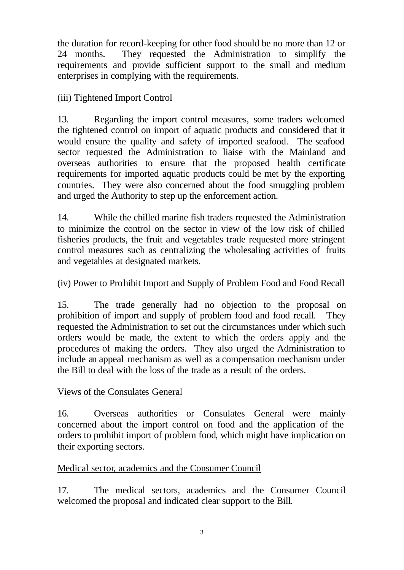the duration for record-keeping for other food should be no more than 12 or 24 months. They requested the Administration to simplify the requirements and provide sufficient support to the small and medium enterprises in complying with the requirements.

(iii) Tightened Import Control

13. Regarding the import control measures, some traders welcomed the tightened control on import of aquatic products and considered that it would ensure the quality and safety of imported seafood. The seafood sector requested the Administration to liaise with the Mainland and overseas authorities to ensure that the proposed health certificate requirements for imported aquatic products could be met by the exporting countries. They were also concerned about the food smuggling problem and urged the Authority to step up the enforcement action.

14. While the chilled marine fish traders requested the Administration to minimize the control on the sector in view of the low risk of chilled fisheries products, the fruit and vegetables trade requested more stringent control measures such as centralizing the wholesaling activities of fruits and vegetables at designated markets.

(iv) Power to Prohibit Import and Supply of Problem Food and Food Recall

15. The trade generally had no objection to the proposal on prohibition of import and supply of problem food and food recall. They requested the Administration to set out the circumstances under which such orders would be made, the extent to which the orders apply and the procedures of making the orders. They also urged the Administration to include an appeal mechanism as well as a compensation mechanism under the Bill to deal with the loss of the trade as a result of the orders.

Views of the Consulates General

16. Overseas authorities or Consulates General were mainly concerned about the import control on food and the application of the orders to prohibit import of problem food, which might have implication on their exporting sectors.

### Medical sector, academics and the Consumer Council

17. The medical sectors, academics and the Consumer Council welcomed the proposal and indicated clear support to the Bill.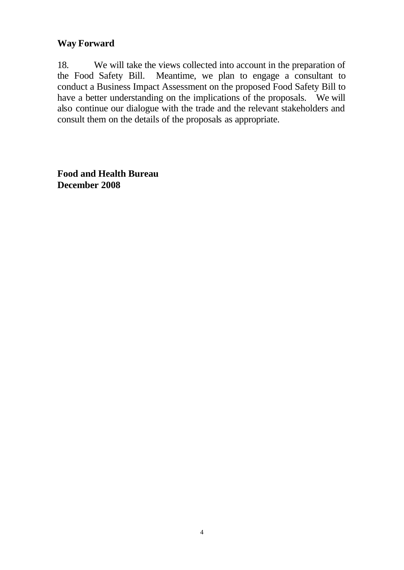#### **Way Forward**

18. We will take the views collected into account in the preparation of the Food Safety Bill. Meantime, we plan to engage a consultant to conduct a Business Impact Assessment on the proposed Food Safety Bill to have a better understanding on the implications of the proposals. We will also continue our dialogue with the trade and the relevant stakeholders and consult them on the details of the proposals as appropriate.

**Food and Health Bureau December 2008**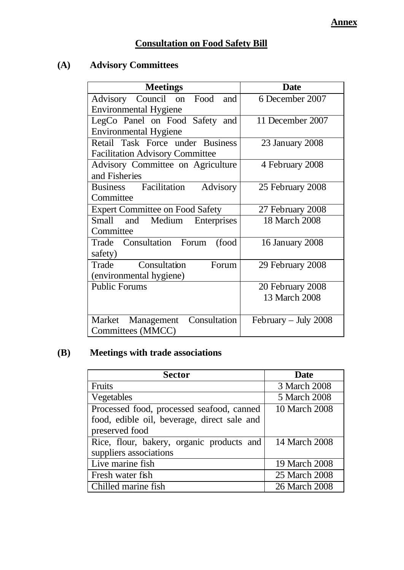# **Consultation on Food Safety Bill**

# **(A) Advisory Committees**

| <b>Meetings</b>                          | <b>Date</b>            |
|------------------------------------------|------------------------|
| Advisory Council on Food<br>and          | 6 December 2007        |
| <b>Environmental Hygiene</b>             |                        |
| LegCo Panel on Food Safety and           | 11 December 2007       |
| <b>Environmental Hygiene</b>             |                        |
| Retail Task Force under Business         | 23 January 2008        |
| <b>Facilitation Advisory Committee</b>   |                        |
| Advisory Committee on Agriculture        | 4 February 2008        |
| and Fisheries                            |                        |
| <b>Business</b> Facilitation<br>Advisory | 25 February 2008       |
| Committee                                |                        |
| <b>Expert Committee on Food Safety</b>   | 27 February 2008       |
| Small and<br>Medium<br>Enterprises       | 18 March 2008          |
| Committee                                |                        |
| Trade Consultation Forum<br>(food        | 16 January 2008        |
| safety)                                  |                        |
| Consultation<br>Forum<br>Trade           | 29 February 2008       |
| (environmental hygiene)                  |                        |
| <b>Public Forums</b>                     | 20 February 2008       |
|                                          | 13 March 2008          |
|                                          |                        |
| Consultation<br>Market Management        | February $-$ July 2008 |
| Committees (MMCC)                        |                        |

# **(B) Meetings with trade associations**

| <b>Sector</b>                               | <b>Date</b>   |
|---------------------------------------------|---------------|
| Fruits                                      | 3 March 2008  |
| Vegetables                                  | 5 March 2008  |
| Processed food, processed seafood, canned   | 10 March 2008 |
| food, edible oil, beverage, direct sale and |               |
| preserved food                              |               |
| Rice, flour, bakery, organic products and   | 14 March 2008 |
| suppliers associations                      |               |
| Live marine fish                            | 19 March 2008 |
| Fresh water fish                            | 25 March 2008 |
| Chilled marine fish                         | 26 March 2008 |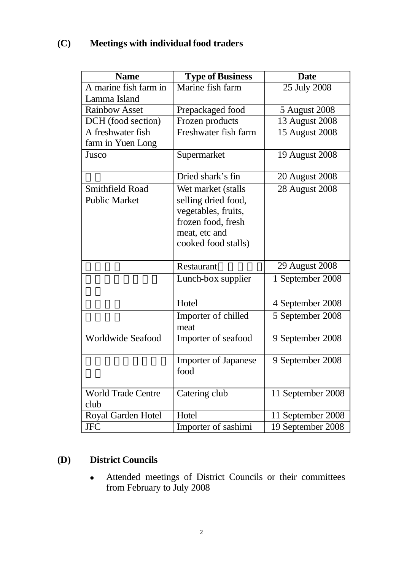# **(C) Meetings with individual food traders**

| <b>Name</b>                       | <b>Type of Business</b>             | <b>Date</b>       |
|-----------------------------------|-------------------------------------|-------------------|
| A marine fish farm in             | Marine fish farm                    | $25$ July 2008    |
| Lamma Island                      |                                     |                   |
| <b>Rainbow Asset</b>              | Prepackaged food                    | 5 August 2008     |
| DCH (food section)                | Frozen products                     | 13 August 2008    |
| A freshwater fish                 | Freshwater fish farm                | 15 August 2008    |
| farm in Yuen Long                 |                                     |                   |
| Jusco                             | Supermarket                         | 19 August 2008    |
|                                   | Dried shark's fin                   | 20 August 2008    |
| Smithfield Road                   | Wet market (stalls                  | 28 August 2008    |
| <b>Public Market</b>              | selling dried food,                 |                   |
|                                   | vegetables, fruits,                 |                   |
|                                   | frozen food, fresh                  |                   |
|                                   | meat, etc and                       |                   |
|                                   | cooked food stalls)                 |                   |
|                                   | Restaurant                          | 29 August 2008    |
|                                   | Lunch-box supplier                  | 1 September 2008  |
|                                   | Hotel                               | 4 September 2008  |
|                                   | Importer of chilled                 | 5 September 2008  |
|                                   | meat                                |                   |
| <b>Worldwide Seafood</b>          | Importer of seafood                 | 9 September 2008  |
|                                   | <b>Importer of Japanese</b><br>food | 9 September 2008  |
| <b>World Trade Centre</b><br>club | Catering club                       | 11 September 2008 |
| Royal Garden Hotel                | Hotel                               | 11 September 2008 |
| <b>JFC</b>                        | Importer of sashimi                 | 19 September 2008 |

# **(D) District Councils**

• Attended meetings of District Councils or their committees from February to July 2008